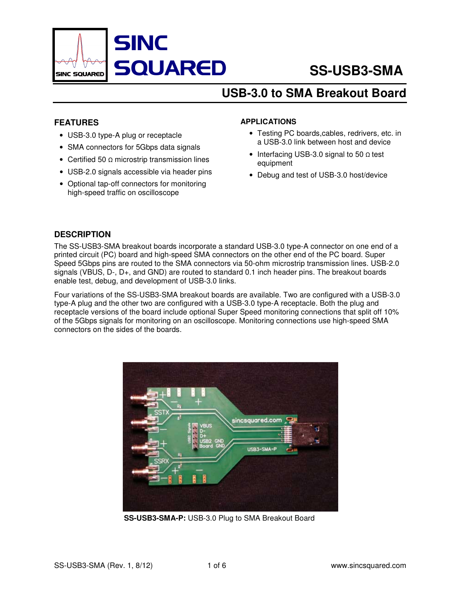

# **USB-3.0 to SMA Breakout Board**

#### **FEATURES**

- USB-3.0 type-A plug or receptacle
- SMA connectors for 5Gbps data signals
- Certified 50 Ω microstrip transmission lines
- USB-2.0 signals accessible via header pins
- Optional tap-off connectors for monitoring high-speed traffic on oscilloscope

#### **APPLICATIONS**

- Testing PC boards,cables, redrivers, etc. in a USB-3.0 link between host and device
- Interfacing USB-3.0 signal to 50 Ω test equipment
- Debug and test of USB-3.0 host/device

#### **DESCRIPTION**

The SS-USB3-SMA breakout boards incorporate a standard USB-3.0 type-A connector on one end of a printed circuit (PC) board and high-speed SMA connectors on the other end of the PC board. Super Speed 5Gbps pins are routed to the SMA connectors via 50-ohm microstrip transmission lines. USB-2.0 signals (VBUS, D-, D+, and GND) are routed to standard 0.1 inch header pins. The breakout boards enable test, debug, and development of USB-3.0 links.

Four variations of the SS-USB3-SMA breakout boards are available. Two are configured with a USB-3.0 type-A plug and the other two are configured with a USB-3.0 type-A receptacle. Both the plug and receptacle versions of the board include optional Super Speed monitoring connections that split off 10% of the 5Gbps signals for monitoring on an oscilloscope. Monitoring connections use high-speed SMA connectors on the sides of the boards.



**SS-USB3-SMA-P:** USB-3.0 Plug to SMA Breakout Board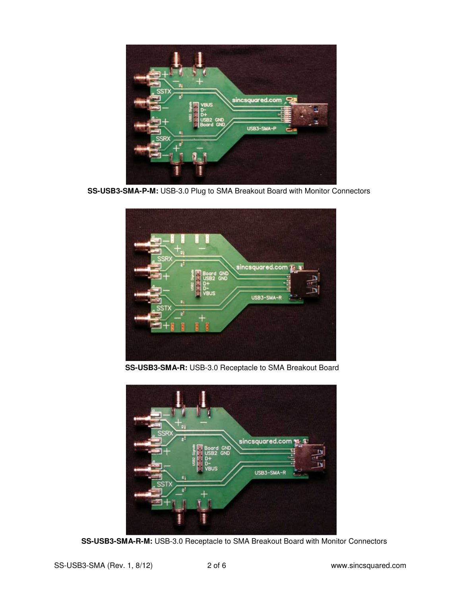

 **SS-USB3-SMA-P-M:** USB-3.0 Plug to SMA Breakout Board with Monitor Connectors



 **SS-USB3-SMA-R:** USB-3.0 Receptacle to SMA Breakout Board



 **SS-USB3-SMA-R-M:** USB-3.0 Receptacle to SMA Breakout Board with Monitor Connectors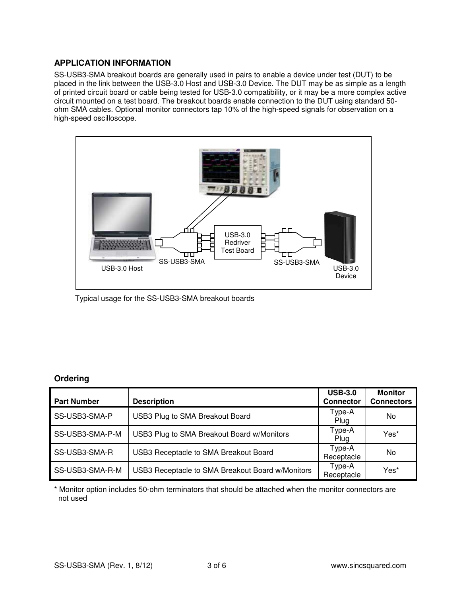### **APPLICATION INFORMATION**

SS-USB3-SMA breakout boards are generally used in pairs to enable a device under test (DUT) to be placed in the link between the USB-3.0 Host and USB-3.0 Device. The DUT may be as simple as a length of printed circuit board or cable being tested for USB-3.0 compatibility, or it may be a more complex active circuit mounted on a test board. The breakout boards enable connection to the DUT using standard 50 ohm SMA cables. Optional monitor connectors tap 10% of the high-speed signals for observation on a high-speed oscilloscope.



Typical usage for the SS-USB3-SMA breakout boards

# **Ordering**

| <b>Part Number</b> | <b>Description</b>                               | <b>USB-3.0</b><br><b>Connector</b> | <b>Monitor</b><br><b>Connectors</b> |
|--------------------|--------------------------------------------------|------------------------------------|-------------------------------------|
| SS-USB3-SMA-P      | USB3 Plug to SMA Breakout Board                  | Type-A<br>Plug                     | No.                                 |
| SS-USB3-SMA-P-M    | USB3 Plug to SMA Breakout Board w/Monitors       | Type-A<br>Plug                     | Yes*                                |
| SS-USB3-SMA-R      | USB3 Receptacle to SMA Breakout Board            | Type-A<br>Receptacle               | No                                  |
| SS-USB3-SMA-R-M    | USB3 Receptacle to SMA Breakout Board w/Monitors | Type-A<br>Receptacle               | Yes*                                |

\* Monitor option includes 50-ohm terminators that should be attached when the monitor connectors are not used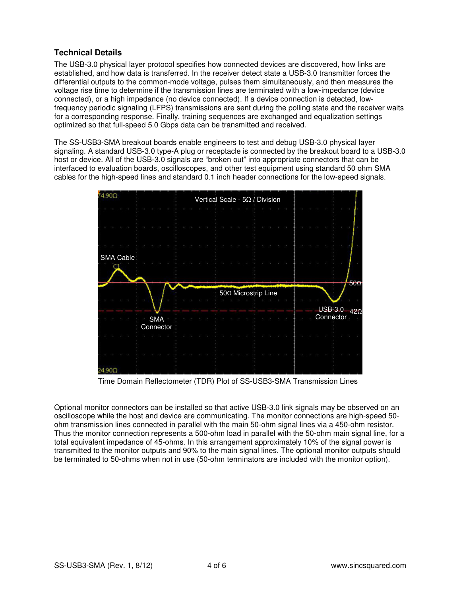## **Technical Details**

The USB-3.0 physical layer protocol specifies how connected devices are discovered, how links are established, and how data is transferred. In the receiver detect state a USB-3.0 transmitter forces the differential outputs to the common-mode voltage, pulses them simultaneously, and then measures the voltage rise time to determine if the transmission lines are terminated with a low-impedance (device connected), or a high impedance (no device connected). If a device connection is detected, lowfrequency periodic signaling (LFPS) transmissions are sent during the polling state and the receiver waits for a corresponding response. Finally, training sequences are exchanged and equalization settings optimized so that full-speed 5.0 Gbps data can be transmitted and received.

The SS-USB3-SMA breakout boards enable engineers to test and debug USB-3.0 physical layer signaling. A standard USB-3.0 type-A plug or receptacle is connected by the breakout board to a USB-3.0 host or device. All of the USB-3.0 signals are "broken out" into appropriate connectors that can be interfaced to evaluation boards, oscilloscopes, and other test equipment using standard 50 ohm SMA cables for the high-speed lines and standard 0.1 inch header connections for the low-speed signals.



Time Domain Reflectometer (TDR) Plot of SS-USB3-SMA Transmission Lines

Optional monitor connectors can be installed so that active USB-3.0 link signals may be observed on an oscilloscope while the host and device are communicating. The monitor connections are high-speed 50 ohm transmission lines connected in parallel with the main 50-ohm signal lines via a 450-ohm resistor. Thus the monitor connection represents a 500-ohm load in parallel with the 50-ohm main signal line, for a total equivalent impedance of 45-ohms. In this arrangement approximately 10% of the signal power is transmitted to the monitor outputs and 90% to the main signal lines. The optional monitor outputs should be terminated to 50-ohms when not in use (50-ohm terminators are included with the monitor option).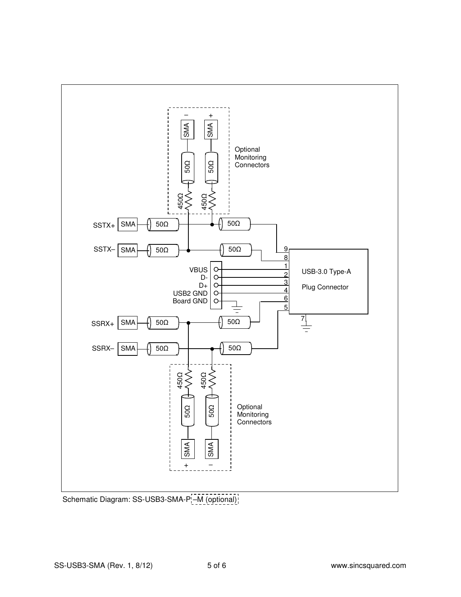

Schematic Diagram: SS-USB3-SMA-P<sub>1</sub>-M (optional);